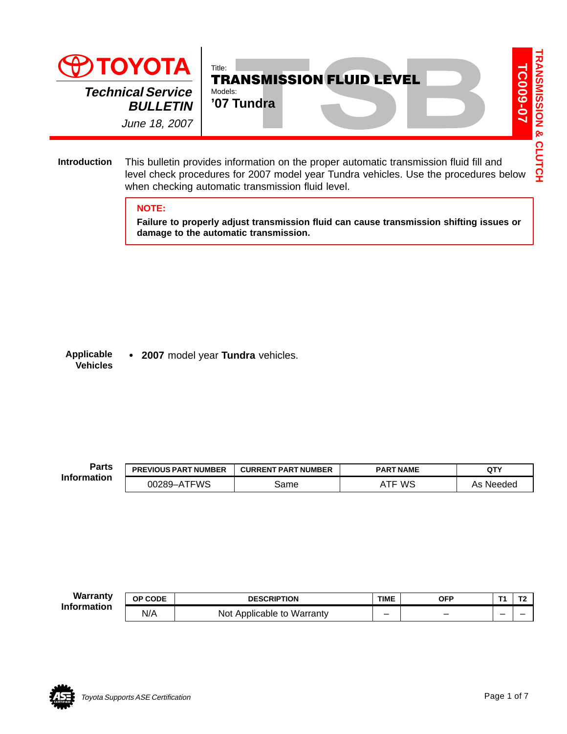

This bulletin provides information on the proper automatic transmission fluid fill and level check procedures for 2007 model year Tundra vehicles. Use the procedures below when checking automatic transmission fluid level. **Introduction**

## **NOTE:**

**Failure to properly adjust transmission fluid can cause transmission shifting issues or damage to the automatic transmission.**

 **2007** model year **Tundra** vehicles. **Applicable Vehicles**

| <b>Parts</b>       | <b>PREVIOUS PART NUMBER</b> | <b>CURRENT PART NUMBER</b> | <b>PART NAME</b> | QTY       |
|--------------------|-----------------------------|----------------------------|------------------|-----------|
| <b>Information</b> | 00289-ATFWS                 | same                       | ws               | As Needed |

**OP CODE DESCRIPTION TIME OFP T1 T2**  $N/A$  Not Applicable to Warranty  $\begin{vmatrix} - & 1 & - & \end{vmatrix}$  -  $\begin{vmatrix} - & 1 & - & \end{vmatrix}$ **Warranty Information**

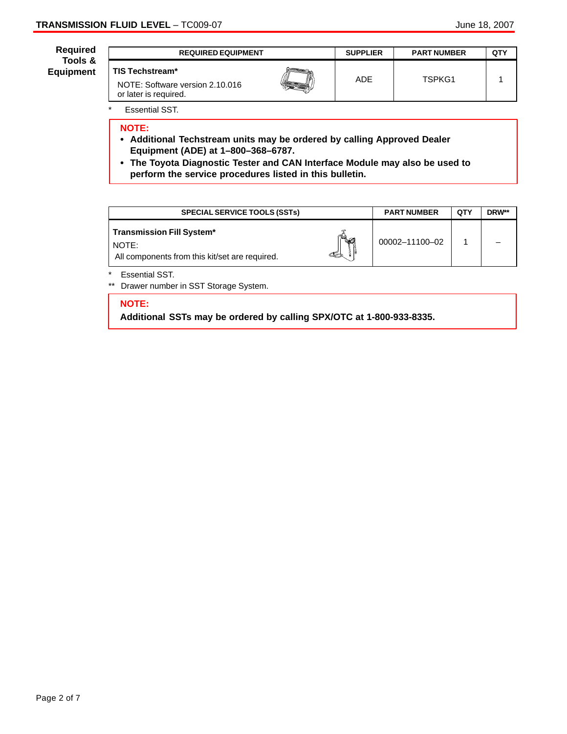| Required                    | <b>REQUIRED EQUIPMENT</b>                                                          |  | <b>SUPPLIER</b> | <b>PART NUMBER</b> | QTY |
|-----------------------------|------------------------------------------------------------------------------------|--|-----------------|--------------------|-----|
| Tools &<br><b>Equipment</b> | <b>TIS Techstream*</b><br>NOTE: Software version 2.10.016<br>or later is required. |  | <b>ADE</b>      | TSPKG1             |     |

\* Essential SST.

## **NOTE:**

- **Additional Techstream units may be ordered by calling Approved Dealer Equipment (ADE) at 1–800–368–6787.**
- **The Toyota Diagnostic Tester and CAN Interface Module may also be used to perform the service procedures listed in this bulletin.**

| <b>SPECIAL SERVICE TOOLS (SSTs)</b>                                                                          | <b>PART NUMBER</b> | <b>QTY</b> | DRW** |
|--------------------------------------------------------------------------------------------------------------|--------------------|------------|-------|
| <b>Transmission Fill System*</b><br>$\sim$ $\sim$<br>NOTE:<br>All components from this kit/set are required. | 00002-11100-02     |            |       |

**Essential SST.** 

\*\* Drawer number in SST Storage System.

#### **NOTE:**

**Additional SSTs may be ordered by calling SPX/OTC at 1-800-933-8335.**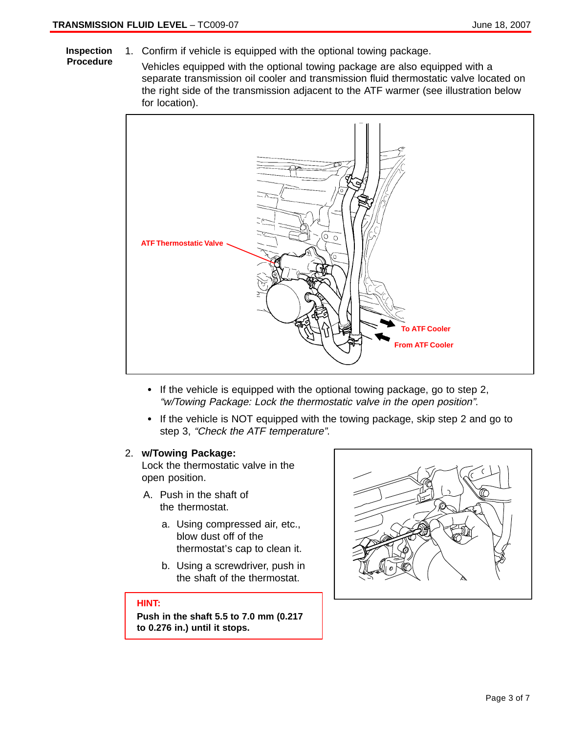- 1. Confirm if vehicle is equipped with the optional towing package. **Inspection**
- **Procedure**
- Vehicles equipped with the optional towing package are also equipped with a separate transmission oil cooler and transmission fluid thermostatic valve located on the right side of the transmission adjacent to the ATF warmer (see illustration below



- If the vehicle is equipped with the optional towing package, go to step 2, "w/Towing Package: Lock the thermostatic valve in the open position".
- If the vehicle is NOT equipped with the towing package, skip step 2 and go to step 3, "Check the ATF temperature".

### 2. **w/Towing Package:**

Lock the thermostatic valve in the open position.

- A. Push in the shaft of the thermostat.
	- a. Using compressed air, etc., blow dust off of the thermostat's cap to clean it.
	- b. Using a screwdriver, push in the shaft of the thermostat.

## **HINT:**

**Push in the shaft 5.5 to 7.0 mm (0.217 to 0.276 in.) until it stops.**

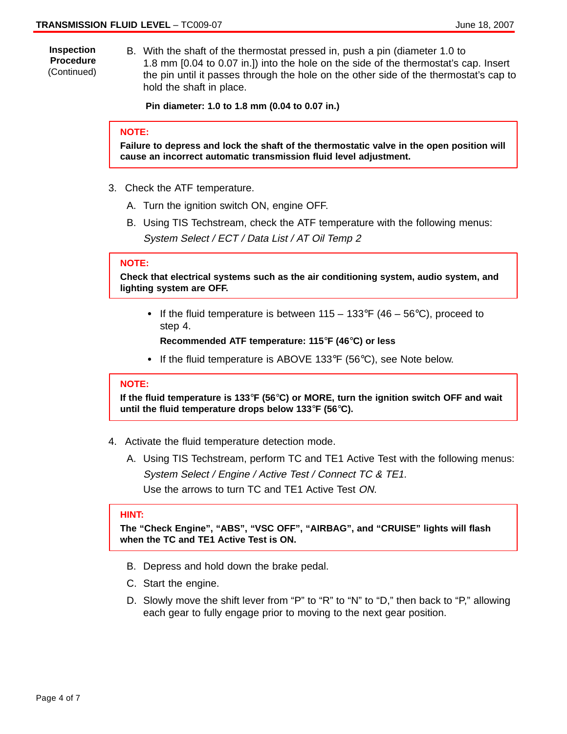**Inspection Procedure** (Continued) B. With the shaft of the thermostat pressed in, push a pin (diameter 1.0 to 1.8 mm [0.04 to 0.07 in.]) into the hole on the side of the thermostat's cap. Insert

the pin until it passes through the hole on the other side of the thermostat's cap to hold the shaft in place.

**Pin diameter: 1.0 to 1.8 mm (0.04 to 0.07 in.)**

#### **NOTE:**

**Failure to depress and lock the shaft of the thermostatic valve in the open position will cause an incorrect automatic transmission fluid level adjustment.**

- 3. Check the ATF temperature.
	- A. Turn the ignition switch ON, engine OFF.
	- B. Using TIS Techstream, check the ATF temperature with the following menus: System Select / ECT / Data List / AT Oil Temp 2

#### **NOTE:**

**Check that electrical systems such as the air conditioning system, audio system, and lighting system are OFF.**

If the fluid temperature is between  $115 - 133$ °F (46 – 56°C), proceed to step 4.

**Recommended ATF temperature: 115**°**F (46**°**C) or less**

If the fluid temperature is ABOVE 133°F (56°C), see Note below.

### **NOTE:**

**If the fluid temperature is 133**°**F (56**°**C) or MORE, turn the ignition switch OFF and wait until the fluid temperature drops below 133**°**F (56**°**C).**

- 4. Activate the fluid temperature detection mode.
	- A. Using TIS Techstream, perform TC and TE1 Active Test with the following menus: System Select / Engine / Active Test / Connect TC & TE1. Use the arrows to turn TC and TE1 Active Test ON.

#### **HINT:**

**The "Check Engine", "ABS", "VSC OFF", "AIRBAG", and "CRUISE" lights will flash when the TC and TE1 Active Test is ON.**

- B. Depress and hold down the brake pedal.
- C. Start the engine.
- D. Slowly move the shift lever from "P" to "R" to "N" to "D," then back to "P," allowing each gear to fully engage prior to moving to the next gear position.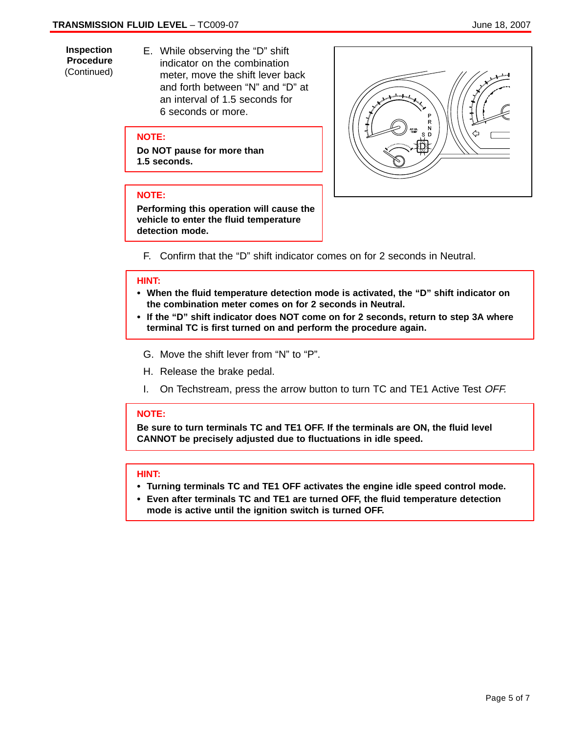**Inspection Procedure** (Continued) E. While observing the "D" shift indicator on the combination meter, move the shift lever back and forth between "N" and "D" at an interval of 1.5 seconds for 6 seconds or more.

## **NOTE:**

**Do NOT pause for more than 1.5 seconds.**

## **NOTE:**

**Performing this operation will cause the vehicle to enter the fluid temperature detection mode.**



F. Confirm that the "D" shift indicator comes on for 2 seconds in Neutral.

# **HINT:**

- **When the fluid temperature detection mode is activated, the "D" shift indicator on the combination meter comes on for 2 seconds in Neutral.**
- **If the "D" shift indicator does NOT come on for 2 seconds, return to step 3A where terminal TC is first turned on and perform the procedure again.**
	- G. Move the shift lever from "N" to "P".
	- H. Release the brake pedal.
	- I. On Techstream, press the arrow button to turn TC and TE1 Active Test OFF.

### **NOTE:**

**Be sure to turn terminals TC and TE1 OFF. If the terminals are ON, the fluid level CANNOT be precisely adjusted due to fluctuations in idle speed.**

## **HINT:**

- **Turn:**<br>• Turning terminals TC and TE1 OFF activates the engine idle speed control mode.
- **Even after terminals TC and TE1 are turned OFF, the fluid temperature detection mode is active until the ignition switch is turned OFF.**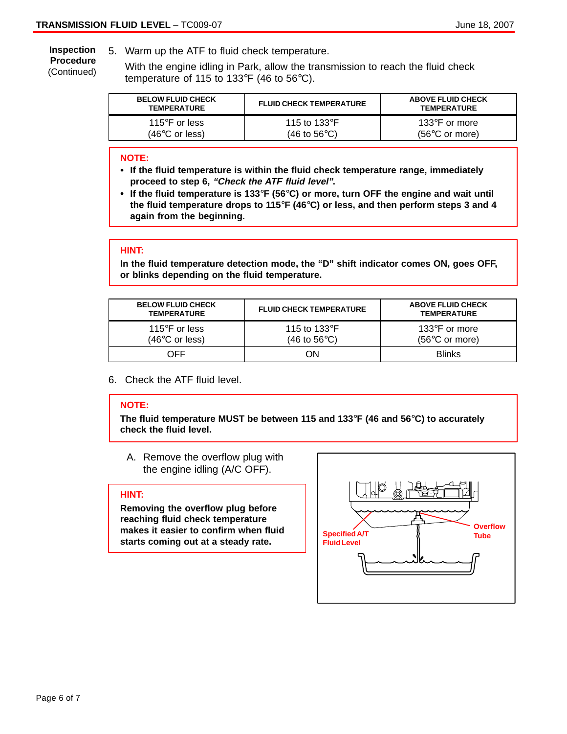5. Warm up the ATF to fluid check temperature. **Inspection**

**Procedure** (Continued)

With the engine idling in Park, allow the transmission to reach the fluid check temperature of 115 to 133°F (46 to 56°C).

| <b>BELOW FLUID CHECK</b><br><b>TEMPERATURE</b> | <b>FLUID CHECK TEMPERATURE</b>  | <b>ABOVE FLUID CHECK</b><br><b>TEMPERATURE</b> |
|------------------------------------------------|---------------------------------|------------------------------------------------|
| 115°F or less                                  | 115 to 133 $\mathrm{^{\circ}F}$ | 133 $\degree$ F or more                        |
| $(46^{\circ}$ C or less)                       | (46 to 56°C).                   | $(56^{\circ}$ C or more)                       |

# **NOTE:**

- **If the fluid temperature is within the fluid check temperature range, immediately proceed to step 6, "Check the ATF fluid level".**
- **If the fluid temperature is 133**°**F (56**°**C) or more, turn OFF the engine and wait until the fluid temperature drops to 115**°**F (46**°**C) or less, and then perform steps 3 and 4 again from the beginning.**

#### **HINT:**

**In the fluid temperature detection mode, the "D" shift indicator comes ON, goes OFF, or blinks depending on the fluid temperature.**

| <b>BELOW FLUID CHECK</b><br><b>TEMPERATURE</b> | <b>FLUID CHECK TEMPERATURE</b>                  | <b>ABOVE FLUID CHECK</b><br><b>TEMPERATURE</b>      |
|------------------------------------------------|-------------------------------------------------|-----------------------------------------------------|
| 115 $\degree$ F or less<br>(46°C or less)      | 115 to 133 $\mathrm{^{\circ}F}$<br>(46 to 56°C) | 133 $\degree$ F or more<br>$(56^{\circ}$ C or more) |
| NFF                                            | 7N                                              | <b>Blinks</b>                                       |

6. Check the ATF fluid level.

#### **NOTE:**

**The fluid temperature MUST be between 115 and 133**°**F (46 and 56**°**C) to accurately check the fluid level.**

A. Remove the overflow plug with the engine idling (A/C OFF).

#### **HINT:**

**Removing the overflow plug before reaching fluid check temperature makes it easier to confirm when fluid starts coming out at a steady rate.**